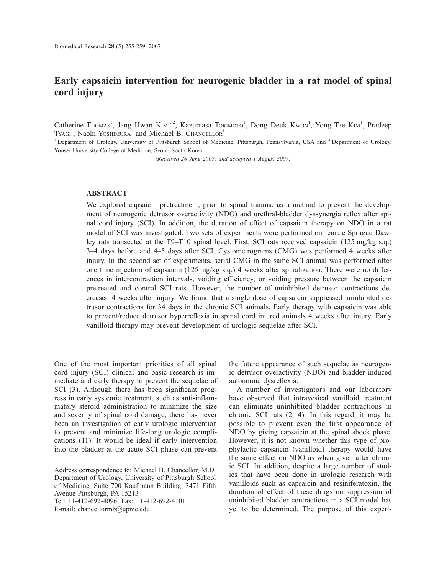# **Early capsaicin intervention for neurogenic bladder in a rat model of spinal cord injury**

Catherine Thomas<sup>1</sup>, Jang Hwan KIm<sup>1, 2</sup>, Kazumasa Torimoto<sup>1</sup>, Dong Deuk Kwon<sup>1</sup>, Yong Tae KIm<sup>1</sup>, Pradeep TYAGI<sup>1</sup>, Naoki Yoshimura<sup>1</sup> and Michael B. Chancellor<sup>1</sup>

<sup>1</sup> Department of Urology, University of Pittsburgh School of Medicine, Pittsburgh, Pennsylvania, USA and <sup>2</sup> Department of Urology, Yonsei University College of Medicine, Seoul, South Korea

*(Received 28 June 2007; and accepted 1 August 2007)*

## **ABSTRACT**

We explored capsaicin pretreatment, prior to spinal trauma, as a method to prevent the development of neurogenic detrusor overactivity (NDO) and urethral-bladder dyssynergia reflex after spinal cord injury (SCI). In addition, the duration of effect of capsaicin therapy on NDO in a rat model of SCI was investigated. Two sets of experiments were performed on female Sprague Dawley rats transected at the T9–T10 spinal level. First, SCI rats received capsaicin (125 mg/kg s.q.) 3–4 days before and 4–5 days after SCI. Cystometrograms (CMG) was performed 4 weeks after injury. In the second set of experiments, serial CMG in the same SCI animal was performed after one time injection of capsaicin (125 mg/kg s.q.) 4 weeks after spinalization. There were no differences in intercontraction intervals, voiding efficiency, or voiding pressure between the capsaicin pretreated and control SCI rats. However, the number of uninhibited detrusor contractions decreased 4 weeks after injury. We found that a single dose of capsaicin suppressed uninhibited detrusor contractions for 34 days in the chronic SCI animals. Early therapy with capsaicin was able to prevent/reduce detrusor hyperreflexia in spinal cord injured animals 4 weeks after injury. Early vanilloid therapy may prevent development of urologic sequelae after SCI.

One of the most important priorities of all spinal cord injury (SCI) clinical and basic research is immediate and early therapy to prevent the sequelae of SCI (3). Although there has been significant progress in early systemic treatment, such as anti-inflammatory steroid administration to minimize the size and severity of spinal cord damage, there has never been an investigation of early urologic intervention to prevent and minimize life-long urologic complications (11). It would be ideal if early intervention into the bladder at the acute SCI phase can prevent

Tel: +1-412-692-4096, Fax: +1-412-692-4101

the future appearance of such sequelae as neurogenic detrusor overactivity (NDO) and bladder induced autonomic dysreflexia.

A number of investigators and our laboratory have observed that intravesical vanilloid treatment can eliminate uninhibited bladder contractions in chronic SCI rats (2, 4). In this regard, it may be possible to prevent even the first appearance of NDO by giving capsaicin at the spinal shock phase. However, it is not known whether this type of prophylactic capsaicin (vanilloid) therapy would have the same effect on NDO as when given after chronic SCI. In addition, despite a large number of studies that have been done in urologic research with vanilloids such as capsaicin and resiniferatoxin, the duration of effect of these drugs on suppression of uninhibited bladder contractions in a SCI model has yet to be determined. The purpose of this experi-

Address correspondence to: Michael B. Chancellor, M.D. Department of Urology, University of Pittsburgh School of Medicine, Suite 700 Kaufmann Building, 3471 Fifth Avenue Pittsburgh, PA 15213

E-mail: chancellormb@upmc.edu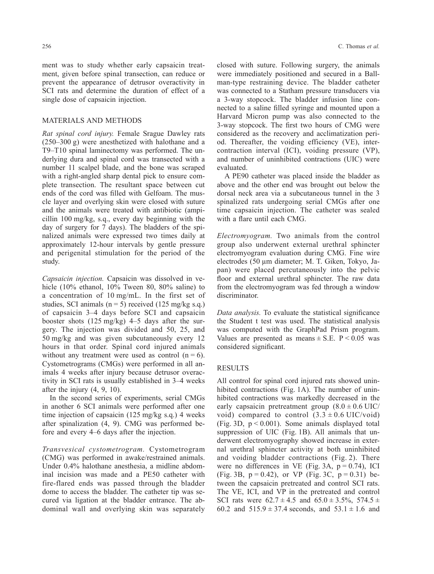ment was to study whether early capsaicin treatment, given before spinal transection, can reduce or prevent the appearance of detrusor overactivity in SCI rats and determine the duration of effect of a single dose of capsaicin injection.

## MATERIALS AND METHODS

*Rat spinal cord injury.* Female Srague Dawley rats (250–300 g) were anesthetized with halothane and a T9–T10 spinal laminectomy was performed. The underlying dura and spinal cord was transected with a number 11 scalpel blade, and the bone was scraped with a right-angled sharp dental pick to ensure complete transection. The resultant space between cut ends of the cord was filled with Gelfoam. The muscle layer and overlying skin were closed with suture and the animals were treated with antibiotic (ampicillin 100 mg/kg, s.q., every day beginning with the day of surgery for 7 days). The bladders of the spinalized animals were expressed two times daily at approximately 12-hour intervals by gentle pressure and perigenital stimulation for the period of the study.

*Capsaicin injection.* Capsaicin was dissolved in vehicle (10% ethanol, 10% Tween 80, 80% saline) to a concentration of 10 mg/mL. In the first set of studies, SCI animals ( $n = 5$ ) received (125 mg/kg s.q.) of capsaicin 3–4 days before SCI and capsaicin booster shots (125 mg/kg) 4–5 days after the surgery. The injection was divided and 50, 25, and 50 mg/kg and was given subcutaneously every 12 hours in that order. Spinal cord injured animals without any treatment were used as control  $(n = 6)$ . Cystometrograms (CMGs) were performed in all animals 4 weeks after injury because detrusor overactivity in SCI rats is usually established in 3–4 weeks after the injury (4, 9, 10).

In the second series of experiments, serial CMGs in another 6 SCI animals were performed after one time injection of capsaicin (125 mg/kg s.q.) 4 weeks after spinalization (4, 9). CMG was performed before and every 4–6 days after the injection.

*Transvesical cystometrogram.* Cystometrogram (CMG) was performed in awake/restrained animals. Under 0.4% halothane anesthesia, a midline abdominal incision was made and a PE50 catheter with fire-flared ends was passed through the bladder dome to access the bladder. The catheter tip was secured via ligation at the bladder entrance. The abdominal wall and overlying skin was separately closed with suture. Following surgery, the animals were immediately positioned and secured in a Ballman-type restraining device. The bladder catheter was connected to a Statham pressure transducers via a 3-way stopcock. The bladder infusion line connected to a saline filled syringe and mounted upon a Harvard Micron pump was also connected to the 3-way stopcock. The first two hours of CMG were considered as the recovery and acclimatization period. Thereafter, the voiding efficiency (VE), intercontraction interval (ICI), voiding pressure (VP), and number of uninhibited contractions (UIC) were evaluated.

A PE90 catheter was placed inside the bladder as above and the other end was brought out below the dorsal neck area via a subcutaneous tunnel in the 3 spinalized rats undergoing serial CMGs after one time capsaicin injection. The catheter was sealed with a flare until each CMG.

*Electromyogram.* Two animals from the control group also underwent external urethral sphincter electromyogram evaluation during CMG. Fine wire electrodes (50 µm diameter; M. T. Giken, Tokyo, Japan) were placed percutaneously into the pelvic floor and external urethral sphincter. The raw data from the electromyogram was fed through a window discriminator.

*Data analysis.* To evaluate the statistical significance the Student t test was used. The statistical analysis was computed with the GraphPad Prism program. Values are presented as means  $\pm$  S.E. P < 0.05 was considered significant.

## RESULTS

All control for spinal cord injured rats showed uninhibited contractions (Fig. 1A). The number of uninhibited contractions was markedly decreased in the early capsaicin pretreatment group  $(8.0 \pm 0.6 \text{ UIC})$ void) compared to control  $(3.3 \pm 0.6 \text{ UIC/void})$ (Fig. 3D,  $p < 0.001$ ). Some animals displayed total suppression of UIC (Fig. 1B). All animals that underwent electromyography showed increase in external urethral sphincter activity at both uninhibited and voiding bladder contractions (Fig. 2). There were no differences in VE (Fig. 3A,  $p = 0.74$ ), ICI (Fig. 3B,  $p = 0.42$ ), or VP (Fig. 3C,  $p = 0.31$ ) between the capsaicin pretreated and control SCI rats. The VE, ICI, and VP in the pretreated and control SCI rats were  $62.7 \pm 4.5$  and  $65.0 \pm 3.5\%$ ,  $574.5 \pm 1.5$ 60.2 and  $515.9 \pm 37.4$  seconds, and  $53.1 \pm 1.6$  and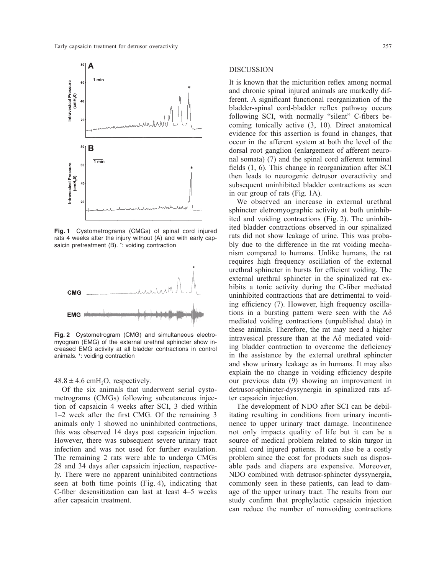

**Fig. 1** Cystometrograms (CMGs) of spinal cord injured rats 4 weeks after the injury without (A) and with early capsaicin pretreatment (B). \*: voiding contraction



**Fig. 2** Cystometrogram (CMG) and simultaneous electromyogram (EMG) of the external urethral sphincter show increased EMG activity at all bladder contractions in control animals. \*: voiding contraction

### $48.8 \pm 4.6$  cmH<sub>2</sub>O, respectively.

Of the six animals that underwent serial cystometrograms (CMGs) following subcutaneous injection of capsaicin 4 weeks after SCI, 3 died within 1–2 week after the first CMG. Of the remaining 3 animals only 1 showed no uninhibited contractions, this was observed 14 days post capsaicin injection. However, there was subsequent severe urinary tract infection and was not used for further evaulation. The remaining 2 rats were able to undergo CMGs 28 and 34 days after capsaicin injection, respectively. There were no apparent uninhibited contractions seen at both time points (Fig. 4), indicating that C-fiber desensitization can last at least 4–5 weeks after capsaicin treatment.

### DISCUSSION

It is known that the micturition reflex among normal and chronic spinal injured animals are markedly different. A significant functional reorganization of the bladder-spinal cord-bladder reflex pathway occurs following SCI, with normally "silent" C-fibers becoming tonically active (3, 10). Direct anatomical evidence for this assertion is found in changes, that occur in the afferent system at both the level of the dorsal root ganglion (enlargement of afferent neuronal somata) (7) and the spinal cord afferent terminal fields (1, 6). This change in reorganization after SCI then leads to neurogenic detrusor overactivity and subsequent uninhibited bladder contractions as seen in our group of rats (Fig. 1A).

We observed an increase in external urethral sphincter eletromyographic activity at both uninhibited and voiding contractions (Fig. 2). The uninhibited bladder contractions observed in our spinalized rats did not show leakage of urine. This was probably due to the difference in the rat voiding mechanism compared to humans. Unlike humans, the rat requires high frequency oscillation of the external urethral sphincter in bursts for efficient voiding. The external urethral sphincter in the spinalized rat exhibits a tonic activity during the C-fiber mediated uninhibited contractions that are detrimental to voiding efficiency (7). However, high frequency oscillations in a bursting pattern were seen with the  $A\delta$ mediated voiding contractions (unpublished data) in these animals. Therefore, the rat may need a higher intravesical pressure than at the Aδ mediated voiding bladder contraction to overcome the deficiency in the assistance by the external urethral sphincter and show urinary leakage as in humans. It may also explain the no change in voiding efficiency despite our previous data (9) showing an improvement in detrusor-sphincter-dyssynergia in spinalized rats after capsaicin injection.

The development of NDO after SCI can be debilitating resulting in conditions from urinary incontinence to upper urinary tract damage. Incontinence not only impacts quality of life but it can be a source of medical problem related to skin turgor in spinal cord injured patients. It can also be a costly problem since the cost for products such as disposable pads and diapers are expensive. Moreover, NDO combined with detrusor-sphincter dyssynergia, commonly seen in these patients, can lead to damage of the upper urinary tract. The results from our study confirm that prophylactic capsaicin injection can reduce the number of nonvoiding contractions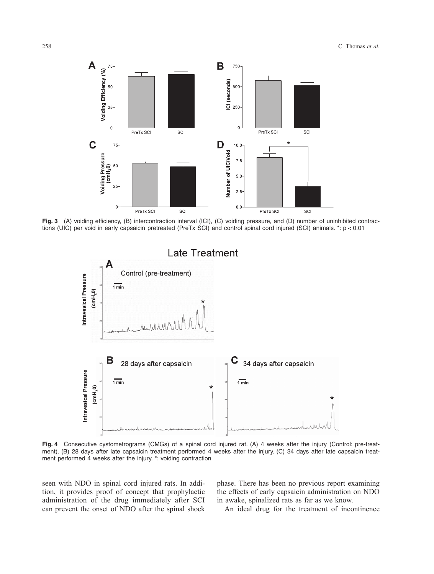

**Fig. 3** (A) voiding efficiency, (B) intercontraction interval (ICI), (C) voiding pressure, and (D) number of uninhibited contractions (UIC) per void in early capsaicin pretreated (PreTx SCI) and control spinal cord injured (SCI) animals. \*: p < 0.01



**Fig. 4** Consecutive cystometrograms (CMGs) of a spinal cord injured rat. (A) 4 weeks after the injury (Control: pre-treatment). (B) 28 days after late capsaicin treatment performed 4 weeks after the injury. (C) 34 days after late capsaicin treatment performed 4 weeks after the injury. \*: voiding contraction

seen with NDO in spinal cord injured rats. In addition, it provides proof of concept that prophylactic administration of the drug immediately after SCI can prevent the onset of NDO after the spinal shock phase. There has been no previous report examining the effects of early capsaicin administration on NDO in awake, spinalized rats as far as we know.

An ideal drug for the treatment of incontinence